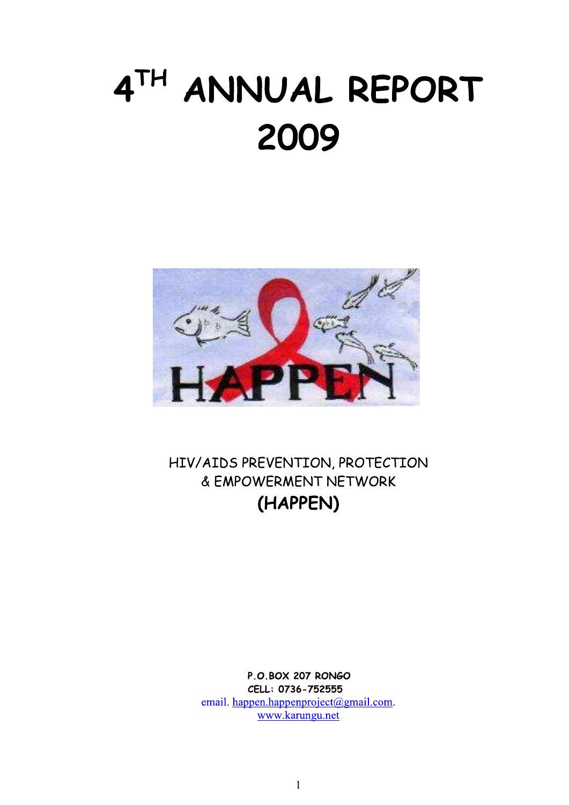# 4TH ANNUAL REPORT 2009



HIV/AIDS PREVENTION, PROTECTION & EMPOWERMENT NETWORK (HAPPEN)

> **P.O.BOX 207 RONGO** CELL: 0736-752555 email. happen.happenproject@gmail.com. www.karungu.net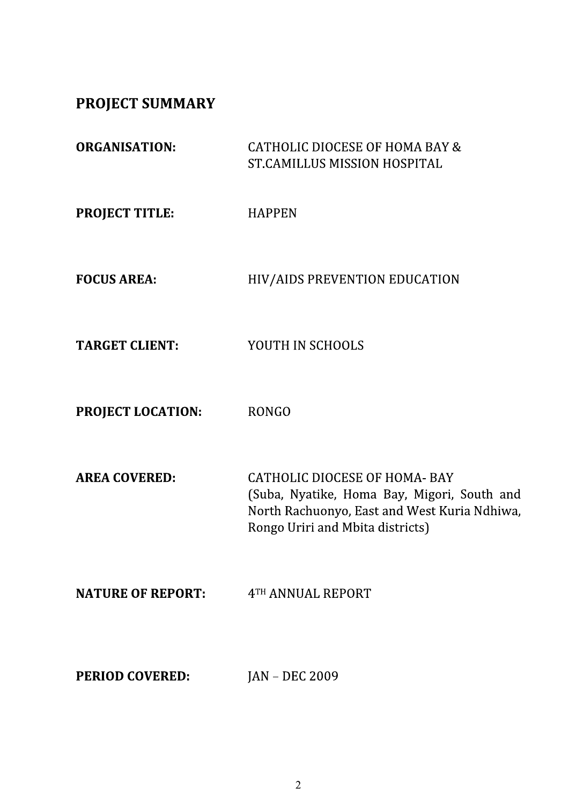**PROJECT SUMMARY** 

| <b>ORGANISATION:</b>     | <b>CATHOLIC DIOCESE OF HOMA BAY &amp;</b><br>ST.CAMILLUS MISSION HOSPITAL                                                                                               |
|--------------------------|-------------------------------------------------------------------------------------------------------------------------------------------------------------------------|
| <b>PROJECT TITLE:</b>    | <b>HAPPEN</b>                                                                                                                                                           |
| <b>FOCUS AREA:</b>       | HIV/AIDS PREVENTION EDUCATION                                                                                                                                           |
| <b>TARGET CLIENT:</b>    | YOUTH IN SCHOOLS                                                                                                                                                        |
| PROJECT LOCATION:        | <b>RONGO</b>                                                                                                                                                            |
| <b>AREA COVERED:</b>     | <b>CATHOLIC DIOCESE OF HOMA- BAY</b><br>(Suba, Nyatike, Homa Bay, Migori, South and<br>North Rachuonyo, East and West Kuria Ndhiwa,<br>Rongo Uriri and Mbita districts) |
| <b>NATURE OF REPORT:</b> | 4TH ANNUAL REPORT                                                                                                                                                       |
| <b>PERIOD COVERED:</b>   | <b>JAN - DEC 2009</b>                                                                                                                                                   |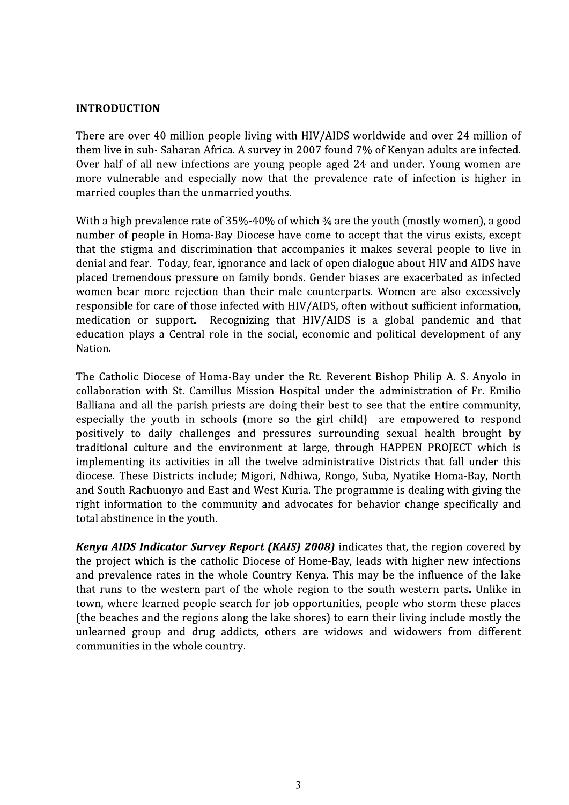#### **INTRODUCTION**

There are over 40 million people living with HIV/AIDS worldwide and over 24 million of them live in sub-Saharan Africa. A survey in 2007 found 7% of Kenyan adults are infected. Over half of all new infections are young people aged 24 and under. Young women are more vulnerable and especially now that the prevalence rate of infection is higher in married couples than the unmarried youths.

With a high prevalence rate of 35%-40% of which 34 are the youth (mostly women), a good number of people in Homa-Bay Diocese have come to accept that the virus exists, except that the stigma and discrimination that accompanies it makes several people to live in denial and fear. Today, fear, ignorance and lack of open dialogue about HIV and AIDS have placed tremendous pressure on family bonds. Gender biases are exacerbated as infected women bear more rejection than their male counterparts. Women are also excessively responsible for care of those infected with HIV/AIDS, often without sufficient information, medication or support. Recognizing that HIV/AIDS is a global pandemic and that education plays a Central role in the social, economic and political development of any Nation.

The Catholic Diocese of Homa-Bay under the Rt. Reverent Bishop Philip A. S. Anyolo in collaboration with St. Camillus Mission Hospital under the administration of Fr. Emilio Balliana and all the parish priests are doing their best to see that the entire community. especially the youth in schools (more so the girl child) are empowered to respond positively to daily challenges and pressures surrounding sexual health brought by traditional culture and the environment at large, through HAPPEN PROJECT which is implementing its activities in all the twelve administrative Districts that fall under this diocese. These Districts include; Migori, Ndhiwa, Rongo, Suba, Nyatike Homa-Bay, North and South Rachuonyo and East and West Kuria. The programme is dealing with giving the right information to the community and advocates for behavior change specifically and total abstinence in the youth.

**Kenya AIDS Indicator Survey Report (KAIS) 2008)** indicates that, the region covered by the project which is the catholic Diocese of Home-Bay, leads with higher new infections and prevalence rates in the whole Country Kenya. This may be the influence of the lake that runs to the western part of the whole region to the south western parts. Unlike in town, where learned people search for job opportunities, people who storm these places (the beaches and the regions along the lake shores) to earn their living include mostly the unlearned group and drug addicts, others are widows and widowers from different communities in the whole country.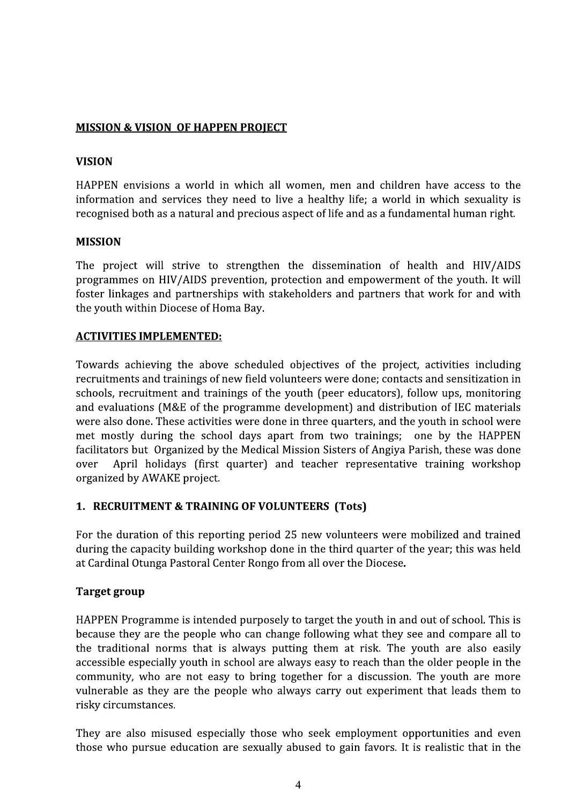#### **MISSION & VISION OF HAPPEN PROJECT**

### **VISION**

HAPPEN envisions a world in which all women, men and children have access to the information and services they need to live a healthy life; a world in which sexuality is recognised both as a natural and precious aspect of life and as a fundamental human right.

#### **MISSION**

The project will strive to strengthen the dissemination of health and HIV/AIDS programmes on HIV/AIDS prevention, protection and empowerment of the youth. It will foster linkages and partnerships with stakeholders and partners that work for and with the youth within Diocese of Homa Bay.

### **ACTIVITIES IMPLEMENTED:**

Towards achieving the above scheduled objectives of the project, activities including recruitments and trainings of new field volunteers were done; contacts and sensitization in schools, recruitment and trainings of the youth (peer educators), follow ups, monitoring and evaluations (M&E of the programme development) and distribution of IEC materials were also done. These activities were done in three quarters, and the youth in school were met mostly during the school days apart from two trainings; one by the HAPPEN facilitators but Organized by the Medical Mission Sisters of Angiya Parish, these was done over April holidays (first quarter) and teacher representative training workshop organized by AWAKE project.

# 1. RECRUITMENT & TRAINING OF VOLUNTEERS (Tots)

For the duration of this reporting period 25 new volunteers were mobilized and trained during the capacity building workshop done in the third quarter of the year; this was held at Cardinal Otunga Pastoral Center Rongo from all over the Diocese.

#### **Target group**

HAPPEN Programme is intended purposely to target the youth in and out of school. This is because they are the people who can change following what they see and compare all to the traditional norms that is always putting them at risk. The youth are also easily accessible especially youth in school are always easy to reach than the older people in the community, who are not easy to bring together for a discussion. The youth are more vulnerable as they are the people who always carry out experiment that leads them to risky circumstances.

They are also misused especially those who seek employment opportunities and even those who pursue education are sexually abused to gain favors. It is realistic that in the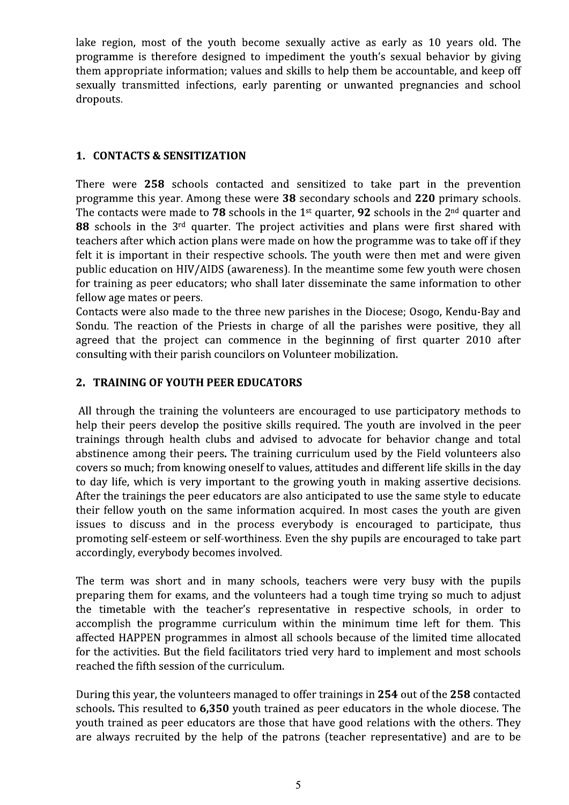lake region, most of the youth become sexually active as early as 10 years old. The programme is therefore designed to impediment the youth's sexual behavior by giving them appropriate information; values and skills to help them be accountable, and keep off sexually transmitted infections, early parenting or unwanted pregnancies and school dropouts.

#### **1. CONTACTS & SENSITIZATION**

There were 258 schools contacted and sensitized to take part in the prevention programme this year. Among these were 38 secondary schools and 220 primary schools. The contacts were made to 78 schools in the 1<sup>st</sup> quarter, 92 schools in the 2<sup>nd</sup> quarter and 88 schools in the 3<sup>rd</sup> quarter. The project activities and plans were first shared with teachers after which action plans were made on how the programme was to take off if they felt it is important in their respective schools. The youth were then met and were given public education on HIV/AIDS (awareness). In the meantime some few youth were chosen for training as peer educators; who shall later disseminate the same information to other fellow age mates or peers.

Contacts were also made to the three new parishes in the Diocese; Osogo, Kendu-Bay and Sondu. The reaction of the Priests in charge of all the parishes were positive, they all agreed that the project can commence in the beginning of first quarter 2010 after consulting with their parish councilors on Volunteer mobilization.

### 2. TRAINING OF YOUTH PEER EDUCATORS

All through the training the volunteers are encouraged to use participatory methods to help their peers develop the positive skills required. The youth are involved in the peer trainings through health clubs and advised to advocate for behavior change and total abstinence among their peers. The training curriculum used by the Field volunteers also covers so much; from knowing oneself to values, attitudes and different life skills in the day to day life, which is very important to the growing youth in making assertive decisions. After the trainings the peer educators are also anticipated to use the same style to educate their fellow youth on the same information acquired. In most cases the youth are given issues to discuss and in the process everybody is encouraged to participate, thus promoting self-esteem or self-worthiness. Even the shy pupils are encouraged to take part accordingly, everybody becomes involved.

The term was short and in many schools, teachers were very busy with the pupils preparing them for exams, and the volunteers had a tough time trying so much to adjust the timetable with the teacher's representative in respective schools, in order to accomplish the programme curriculum within the minimum time left for them. This affected HAPPEN programmes in almost all schools because of the limited time allocated for the activities. But the field facilitators tried very hard to implement and most schools reached the fifth session of the curriculum.

During this year, the volunteers managed to offer trainings in 254 out of the 258 contacted schools. This resulted to 6,350 youth trained as peer educators in the whole diocese. The youth trained as peer educators are those that have good relations with the others. They are always recruited by the help of the patrons (teacher representative) and are to be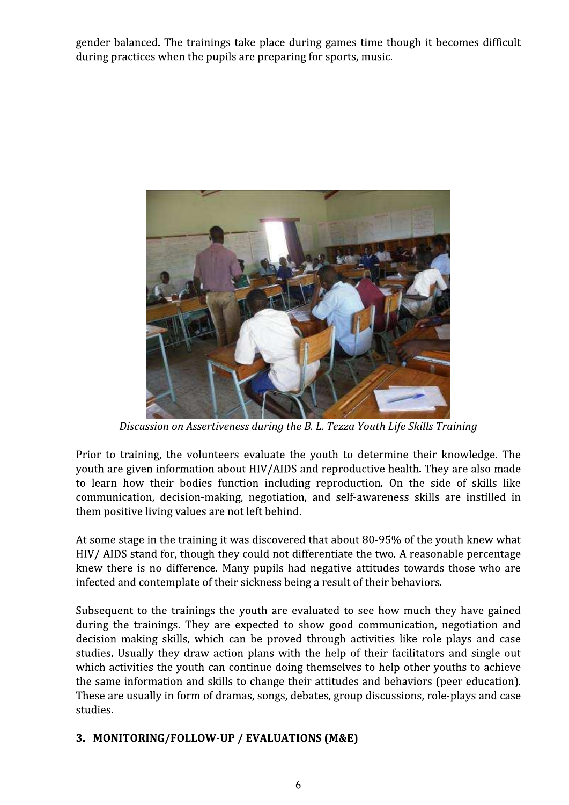gender balanced. The trainings take place during games time though it becomes difficult during practices when the pupils are preparing for sports, music.



Discussion on Assertiveness during the B. L. Tezza Youth Life Skills Training

Prior to training, the volunteers evaluate the youth to determine their knowledge. The youth are given information about HIV/AIDS and reproductive health. They are also made to learn how their bodies function including reproduction. On the side of skills like communication, decision-making, negotiation, and self-awareness skills are instilled in them positive living values are not left behind.

At some stage in the training it was discovered that about 80-95% of the youth knew what HIV/ AIDS stand for, though they could not differentiate the two. A reasonable percentage knew there is no difference. Many pupils had negative attitudes towards those who are infected and contemplate of their sickness being a result of their behaviors.

Subsequent to the trainings the youth are evaluated to see how much they have gained during the trainings. They are expected to show good communication, negotiation and decision making skills, which can be proved through activities like role plays and case studies. Usually they draw action plans with the help of their facilitators and single out which activities the youth can continue doing themselves to help other youths to achieve the same information and skills to change their attitudes and behaviors (peer education). These are usually in form of dramas, songs, debates, group discussions, role-plays and case studies.

# 3. MONITORING/FOLLOW-UP / EVALUATIONS (M&E)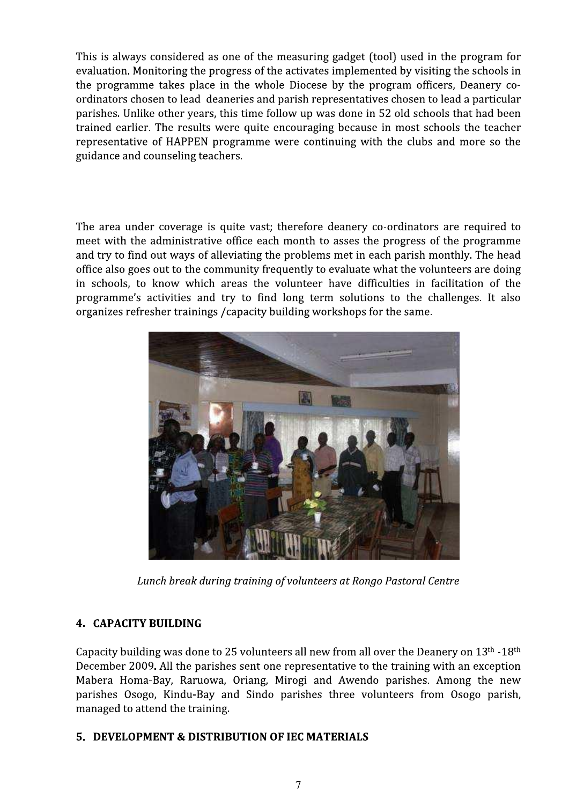This is always considered as one of the measuring gadget (tool) used in the program for evaluation. Monitoring the progress of the activates implemented by visiting the schools in the programme takes place in the whole Diocese by the program officers, Deanery coordinators chosen to lead deaneries and parish representatives chosen to lead a particular parishes. Unlike other years, this time follow up was done in 52 old schools that had been trained earlier. The results were quite encouraging because in most schools the teacher representative of HAPPEN programme were continuing with the clubs and more so the guidance and counseling teachers.

The area under coverage is quite vast; therefore deanery co-ordinators are required to meet with the administrative office each month to asses the progress of the programme and try to find out ways of alleviating the problems met in each parish monthly. The head office also goes out to the community frequently to evaluate what the volunteers are doing in schools, to know which areas the volunteer have difficulties in facilitation of the programme's activities and try to find long term solutions to the challenges. It also organizes refresher trainings / capacity building workshops for the same.



Lunch break during training of volunteers at Rongo Pastoral Centre

# **4. CAPACITY BUILDING**

Capacity building was done to 25 volunteers all new from all over the Deanery on  $13<sup>th</sup> - 18<sup>th</sup>$ December 2009. All the parishes sent one representative to the training with an exception Mabera Homa-Bay, Raruowa, Oriang, Mirogi and Awendo parishes. Among the new parishes Osogo, Kindu-Bay and Sindo parishes three volunteers from Osogo parish, managed to attend the training.

#### 5. DEVELOPMENT & DISTRIBUTION OF IEC MATERIALS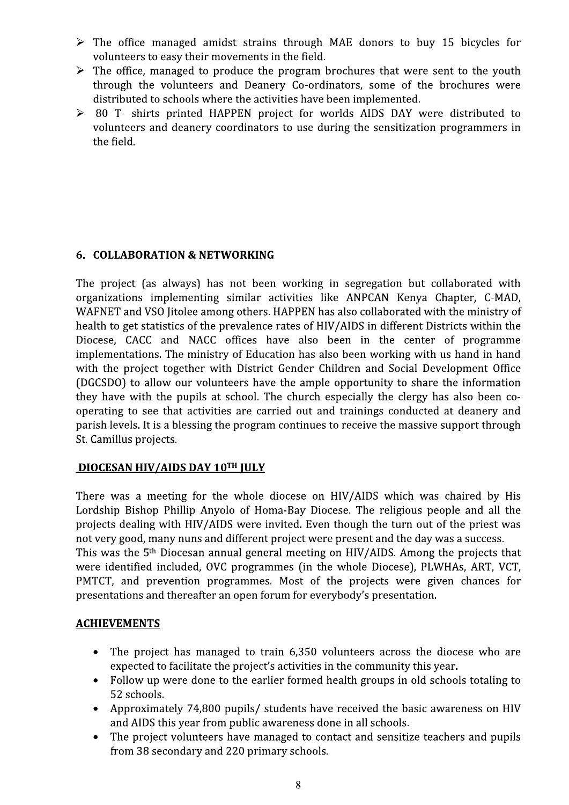- $\triangleright$  The office managed amidst strains through MAE donors to buy 15 bicycles for volunteers to easy their movements in the field.
- $\triangleright$  The office, managed to produce the program brochures that were sent to the youth through the volunteers and Deanery Co-ordinators, some of the brochures were distributed to schools where the activities have been implemented.
- > 80 T- shirts printed HAPPEN project for worlds AIDS DAY were distributed to volunteers and deanery coordinators to use during the sensitization programmers in the field.

# 6. COLLABORATION & NETWORKING

The project (as always) has not been working in segregation but collaborated with organizations implementing similar activities like ANPCAN Kenya Chapter, C-MAD, WAFNET and VSO Jitolee among others. HAPPEN has also collaborated with the ministry of health to get statistics of the prevalence rates of HIV/AIDS in different Districts within the Diocese, CACC and NACC offices have also been in the center of programme implementations. The ministry of Education has also been working with us hand in hand with the project together with District Gender Children and Social Development Office (DGCSDO) to allow our volunteers have the ample opportunity to share the information they have with the pupils at school. The church especially the clergy has also been cooperating to see that activities are carried out and trainings conducted at deanery and parish levels. It is a blessing the program continues to receive the massive support through St. Camillus projects.

# **DIOCESAN HIV/AIDS DAY 10TH JULY**

There was a meeting for the whole diocese on HIV/AIDS which was chaired by His Lordship Bishop Phillip Anyolo of Homa-Bay Diocese. The religious people and all the projects dealing with HIV/AIDS were invited. Even though the turn out of the priest was not very good, many nuns and different project were present and the day was a success. This was the 5<sup>th</sup> Diocesan annual general meeting on HIV/AIDS. Among the projects that were identified included, OVC programmes (in the whole Diocese), PLWHAs, ART, VCT, PMTCT, and prevention programmes. Most of the projects were given chances for presentations and thereafter an open forum for everybody's presentation.

#### **ACHIEVEMENTS**

- $\bullet$ The project has managed to train 6,350 volunteers across the diocese who are expected to facilitate the project's activities in the community this year.
- Follow up were done to the earlier formed health groups in old schools totaling to 52 schools.
- Approximately 74,800 pupils/ students have received the basic awareness on HIV and AIDS this year from public awareness done in all schools.
- The project volunteers have managed to contact and sensitize teachers and pupils  $\bullet$ from 38 secondary and 220 primary schools.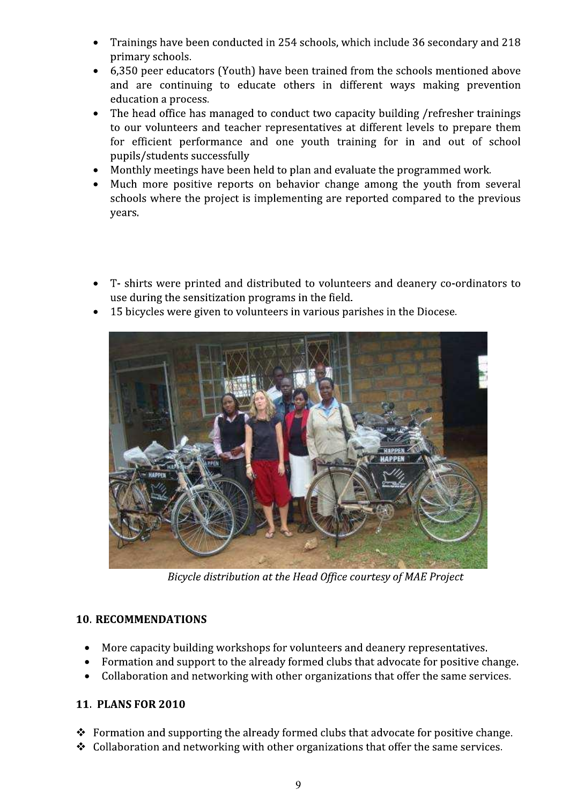- Trainings have been conducted in 254 schools, which include 36 secondary and 218 primary schools.
- 6,350 peer educators (Youth) have been trained from the schools mentioned above and are continuing to educate others in different ways making prevention education a process.
- The head office has managed to conduct two capacity building /refresher trainings to our volunteers and teacher representatives at different levels to prepare them for efficient performance and one youth training for in and out of school pupils/students successfully
- Monthly meetings have been held to plan and evaluate the programmed work.
- Much more positive reports on behavior change among the youth from several schools where the project is implementing are reported compared to the previous years.
- T- shirts were printed and distributed to volunteers and deanery co-ordinators to use during the sensitization programs in the field.
- 15 bicycles were given to volunteers in various parishes in the Diocese.



Bicycle distribution at the Head Office courtesy of MAE Project

# **10. RECOMMENDATIONS**

- More capacity building workshops for volunteers and deanery representatives.
- Formation and support to the already formed clubs that advocate for positive change.  $\bullet$
- Collaboration and networking with other organizations that offer the same services.

# **11. PLANS FOR 2010**

- $\div$  Formation and supporting the already formed clubs that advocate for positive change.
- $\div$  Collaboration and networking with other organizations that offer the same services.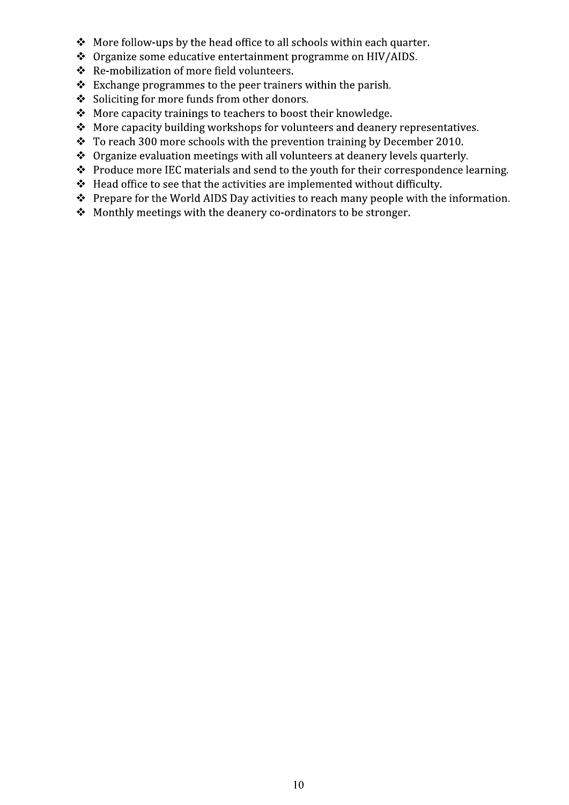- \* More follow-ups by the head office to all schools within each quarter.
- ❖ Organize some educative entertainment programme on HIV/AIDS.
- \* Re-mobilization of more field volunteers.
- $\div$  Exchange programmes to the peer trainers within the parish.
- Soliciting for more funds from other donors.
- \* More capacity trainings to teachers to boost their knowledge.
- ❖ More capacity building workshops for volunteers and deanery representatives.
- $\cdot$  To reach 300 more schools with the prevention training by December 2010.
- $\cdot \cdot$  Organize evaluation meetings with all volunteers at deanery levels quarterly.
- ❖ Produce more IEC materials and send to the youth for their correspondence learning.
- \* Head office to see that the activities are implemented without difficulty.
- $\cdot \cdot$  Prepare for the World AIDS Day activities to reach many people with the information.
- $\div$  Monthly meetings with the deanery co-ordinators to be stronger.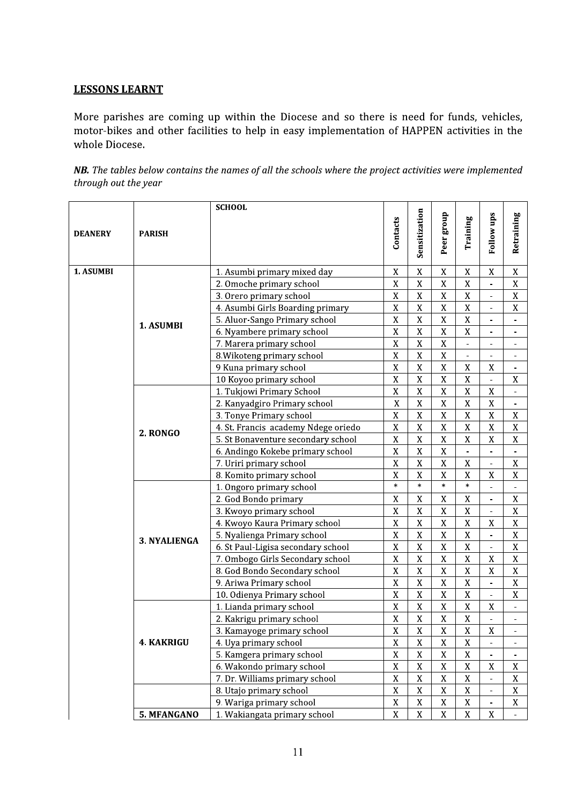#### **LESSONS LEARNT**

More parishes are coming up within the Diocese and so there is need for funds, vehicles, motor-bikes and other facilities to help in easy implementation of HAPPEN activities in the whole Diocese.

NB. The tables below contains the names of all the schools where the project activities were implemented through out the year

|                |                     | <b>SCHOOL</b>                       |                |                |                         |                |                              |                |
|----------------|---------------------|-------------------------------------|----------------|----------------|-------------------------|----------------|------------------------------|----------------|
| <b>DEANERY</b> | <b>PARISH</b>       |                                     | Contacts       | Sensitization  | Peer group              | Training       | <b>Follow ups</b>            | Retraining     |
|                |                     |                                     |                |                |                         |                |                              |                |
| 1. ASUMBI      |                     | 1. Asumbi primary mixed day         | $\mathbf X$    | $\mathbf X$    | X                       | $\mathbf X$    | $\mathbf X$                  | $\mathbf X$    |
|                |                     | 2. Omoche primary school            | $\mathbf X$    | $\mathbf X$    | $\mathbf X$             | $\mathbf X$    | $\qquad \qquad \blacksquare$ | $\mathbf X$    |
|                |                     | 3. Orero primary school             | $\mathbf X$    | $\mathbf X$    | $\mathbf X$             | $\mathbf X$    | $\blacksquare$               | $\mathbf X$    |
|                |                     | 4. Asumbi Girls Boarding primary    | $\mathbf X$    | $\overline{X}$ | $\mathbf X$             | $\overline{X}$ | $\blacksquare$               | $\mathbf X$    |
|                | 1. ASUMBI           | 5. Aluor-Sango Primary school       | $\mathbf X$    | $\mathbf X$    | $\mathbf X$             | $\mathbf X$    | $\blacksquare$               | $\overline{a}$ |
|                |                     | 6. Nyambere primary school          | $\mathbf X$    | $\mathbf X$    | $\mathbf X$             | $\mathbf X$    |                              |                |
|                |                     | 7. Marera primary school            | $\overline{X}$ | $\overline{X}$ | $\overline{X}$          | ÷,             | $\qquad \qquad \blacksquare$ |                |
|                |                     | 8. Wikoteng primary school          | $\mathbf X$    | $\overline{X}$ | $\mathbf X$             | $\blacksquare$ | $\blacksquare$               | $\blacksquare$ |
|                |                     | 9 Kuna primary school               | $\overline{X}$ | $\overline{X}$ | $\mathbf X$             | $\rm X$        | $\mathbf X$                  |                |
|                |                     | 10 Koyoo primary school             | $\overline{X}$ | $\overline{X}$ | $\overline{\mathbf{X}}$ | $\overline{X}$ | $\overline{\phantom{a}}$     | $\mathbf X$    |
|                |                     | 1. Tukjowi Primary School           | $\mathbf X$    | $\mathbf X$    | $\mathbf X$             | $\mathbf X$    | $\mathbf X$                  | $\overline{a}$ |
|                |                     | 2. Kanyadgiro Primary school        | $\bar{X}$      | $\mathbf X$    | $\mathbf X$             | $\mathbf X$    | $\mathbf X$                  |                |
|                |                     | 3. Tonye Primary school             | $\mathbf X$    | $\mathbf X$    | $\mathbf X$             | $\mathbf X$    | X                            | $\mathbf X$    |
|                |                     | 4. St. Francis academy Ndege oriedo | $\mathbf X$    | $\mathbf X$    | $\mathbf X$             | $\mathbf X$    | $\mathbf X$                  | $\mathbf X$    |
|                | 2. RONGO            | 5. St Bonaventure secondary school  | $\mathbf X$    | $\mathbf X$    | $\mathbf X$             | $\mathbf X$    | X                            | $\mathbf X$    |
|                |                     | 6. Andingo Kokebe primary school    | $\mathbf X$    | $\mathbf X$    | $\mathbf X$             | $\blacksquare$ | $\blacksquare$               | $\blacksquare$ |
|                |                     | 7. Uriri primary school             | $\mathbf X$    | $\overline{X}$ | $\mathbf X$             | $\mathbf X$    | $\blacksquare$               | $\mathbf X$    |
|                |                     | 8. Komito primary school            | $\mathbf X$    | $\overline{X}$ | $\mathbf X$             | $\mathbf X$    | $\mathbf X$                  | $\mathbf X$    |
|                |                     | 1. Ongoro primary school            | $\ast$         | $\ast$         | $\ast$                  | $\ast$         |                              |                |
|                | <b>3. NYALIENGA</b> | 2. God Bondo primary                | $\mathbf X$    | $\mathbf X$    | $\mathbf X$             | $\mathbf X$    | $\blacksquare$               | $\mathbf X$    |
|                |                     | 3. Kwoyo primary school             | $\mathbf X$    | $\overline{X}$ | X                       | $\mathbf X$    | $\overline{\phantom{a}}$     | $\mathbf X$    |
|                |                     | 4. Kwoyo Kaura Primary school       | $\overline{X}$ | $\overline{X}$ | $\bar{X}$               | $\overline{X}$ | X                            | $\mathbf X$    |
|                |                     | 5. Nyalienga Primary school         | $\mathbf X$    | $\mathbf X$    | $\mathbf X$             | $\mathbf X$    |                              | $\mathbf X$    |
|                |                     | 6. St Paul-Ligisa secondary school  | $\mathbf X$    | $\mathbf X$    | $\mathbf X$             | $\mathbf X$    |                              | $\mathbf X$    |
|                |                     | 7. Ombogo Girls Secondary school    | $\mathbf X$    | $\mathbf X$    | $\mathbf X$             | $\mathbf X$    | $\mathbf X$                  | $\mathbf X$    |
|                |                     | 8. God Bondo Secondary school       | $\mathbf X$    | $\mathbf X$    | $\mathbf X$             | $\mathbf X$    | $\mathbf X$                  | $\mathbf X$    |
|                |                     | 9. Ariwa Primary school             | $\mathbf X$    | $\mathbf X$    | $\mathbf X$             | $\mathbf X$    | $\overline{\phantom{m}}$     | $\mathbf X$    |
|                |                     | 10. Odienya Primary school          | $\mathbf X$    | $\mathbf X$    | $\mathbf X$             | $\overline{X}$ | $\blacksquare$               | $\mathbf X$    |
|                |                     | 1. Lianda primary school            | $\mathbf X$    | $\mathbf X$    | $\mathbf X$             | $\mathbf X$    | $\mathbf X$                  |                |
|                |                     | 2. Kakrigu primary school           | $\mathbf X$    | $\mathbf X$    | $\mathbf X$             | $\mathbf X$    |                              |                |
|                |                     | 3. Kamayoge primary school          | $\mathbf X$    | X              | $\mathbf X$             | $\mathbf X$    | X                            |                |
|                | <b>4. KAKRIGU</b>   | 4. Uya primary school               | $\bar{X}$      | $\overline{X}$ | $\mathbf X$             | $\mathbf X$    |                              |                |
|                |                     | 5. Kamgera primary school           | $\mathbf X$    | $\overline{X}$ | $\mathbf X$             | $\mathbf X$    |                              |                |
|                |                     | 6. Wakondo primary school           | $\mathbf X$    | $\mathbf X$    | $\mathbf X$             | $\mathbf X$    | $\mathbf X$                  | $\mathbf X$    |
|                |                     | 7. Dr. Williams primary school      | $\mathbf X$    | $\mathbf X$    | $\mathbf X$             | $\mathbf X$    |                              | $\mathbf X$    |
|                |                     | 8. Utajo primary school             | $\mathbf X$    | $\mathbf X$    | $\mathbf X$             | $\mathbf X$    |                              | $\mathbf X$    |
|                |                     | 9. Wariga primary school            | $\mathbf X$    | $\mathbf X$    | $\mathbf X$             | $\mathbf X$    |                              | $\mathbf X$    |
|                | 5. MFANGANO         | 1. Wakiangata primary school        | $\mathbf X$    | $\mathbf X$    | $\mathbf X$             | X              | X                            |                |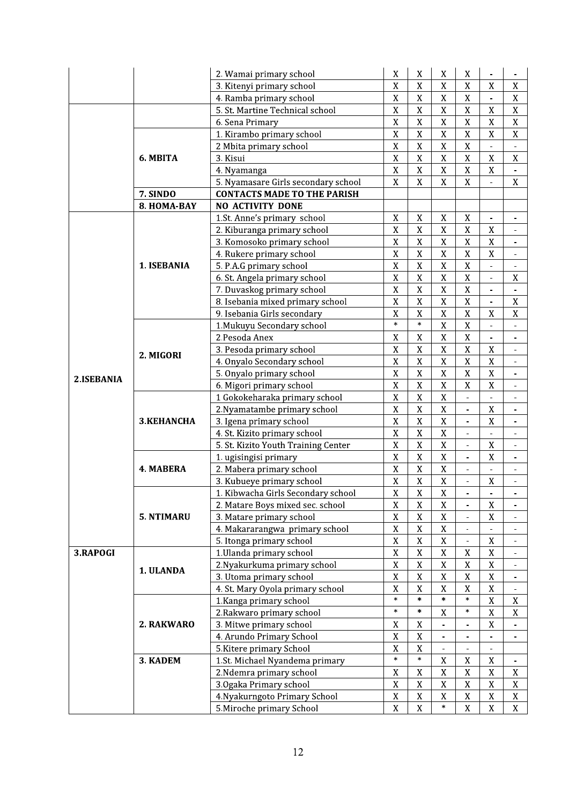|            |                   | 2. Wamai primary school             | $\mathbf X$    | X              | X                        | $\mathbf X$                  |                              |                          |
|------------|-------------------|-------------------------------------|----------------|----------------|--------------------------|------------------------------|------------------------------|--------------------------|
|            |                   | 3. Kitenyi primary school           | $\mathbf X$    | $\mathbf X$    | $\mathbf X$              | $\mathbf X$                  | $\mathbf X$                  | X                        |
|            |                   | 4. Ramba primary school             | X              | X              | X                        | X                            | $\blacksquare$               | X                        |
|            |                   | 5. St. Martine Technical school     | $\mathbf X$    | $\mathbf X$    | $\mathbf X$              | $\mathbf X$                  | $\mathbf X$                  | $\mathbf X$              |
|            |                   | 6. Sena Primary                     | $\mathbf X$    | $\mathbf X$    | $\mathbf X$              | $\mathbf X$                  | $\mathbf X$                  | $\mathbf X$              |
|            |                   | 1. Kirambo primary school           | $\mathbf X$    | $\mathbf X$    | $\mathbf X$              | $\mathbf X$                  | $\mathbf X$                  | $\mathbf X$              |
|            |                   | 2 Mbita primary school              | $\overline{X}$ | $\mathbf X$    | $\mathbf X$              | $\mathbf X$                  |                              |                          |
|            | 6. MBITA          | 3. Kisui                            | $\mathbf X$    | $\mathbf X$    | $\mathbf X$              | $\mathbf X$                  | $\mathbf X$                  | $\mathbf X$              |
|            |                   | 4. Nyamanga                         | $\overline{X}$ | $\overline{X}$ | $\bar{X}$                | $\overline{X}$               | $\overline{X}$               |                          |
|            |                   | 5. Nyamasare Girls secondary school | $\mathbf X$    | $\mathbf X$    | $\mathbf X$              | $\mathbf X$                  |                              | $\mathbf X$              |
|            | 7. SINDO          | <b>CONTACTS MADE TO THE PARISH</b>  |                |                |                          |                              |                              |                          |
|            | 8. HOMA-BAY       | <b>NO ACTIVITY DONE</b>             |                |                |                          |                              |                              |                          |
|            |                   | 1.St. Anne's primary school         | $\mathbf X$    | $\mathbf X$    | $\mathbf X$              | $\mathbf X$                  | $\qquad \qquad \blacksquare$ | $\overline{\phantom{a}}$ |
|            |                   | 2. Kiburanga primary school         | $\mathbf X$    | $\mathbf X$    | $\mathbf X$              | $\mathbf X$                  | $\mathbf X$                  | $\sim$                   |
|            |                   | 3. Komosoko primary school          | $\mathbf X$    | $\mathbf X$    | $\mathbf X$              | $\mathbf X$                  | $\mathbf X$                  | $\overline{\phantom{a}}$ |
|            |                   | 4. Rukere primary school            | $\mathbf X$    | $\mathbf X$    | $\mathbf X$              | $\mathbf X$                  | $\mathbf X$                  | $\blacksquare$           |
|            | 1. ISEBANIA       | 5. P.A.G primary school             | $\mathbf X$    | $\mathbf X$    | $\mathbf X$              | $\mathbf X$                  | $\blacksquare$               |                          |
|            |                   | 6. St. Angela primary school        | $\mathbf X$    | $\mathbf X$    | $\overline{X}$           | $\mathbf X$                  |                              | $\mathbf X$              |
|            |                   | 7. Duvaskog primary school          | $\overline{X}$ | $\mathbf X$    | $\bar{X}$                | $\mathbf X$                  | $\blacksquare$               |                          |
|            |                   | 8. Isebania mixed primary school    | $\overline{X}$ | $\overline{X}$ | $\overline{X}$           | $\overline{X}$               |                              | $\mathbf X$              |
|            |                   | 9. Isebania Girls secondary         | $\mathbf X$    | $\mathbf X$    | $\mathbf X$              | $\mathbf X$                  | $\mathbf X$                  | $\mathbf X$              |
|            |                   | 1. Mukuyu Secondary school          | $\ast$         | $\ast$         | $\mathbf X$              | $\mathbf X$                  |                              |                          |
| 2.ISEBANIA |                   | 2.Pesoda Anex                       | $\mathbf X$    | X              | $\mathbf X$              | $\mathbf X$                  |                              | $\overline{\phantom{a}}$ |
|            |                   | 3. Pesoda primary school            | $\mathbf X$    | $\mathbf X$    | $\mathbf X$              | $\mathbf X$                  | $\mathbf X$                  | $\blacksquare$           |
|            | 2. MIGORI         | 4. Onyalo Secondary school          | $\mathbf X$    | $\mathbf X$    | $\mathbf X$              | $\mathbf X$                  | $\mathbf X$                  | $\overline{\phantom{a}}$ |
|            |                   | 5. Onyalo primary school            | $\mathbf X$    | $\mathbf X$    | $\overline{X}$           | $\mathbf X$                  | $\overline{X}$               | $\blacksquare$           |
|            |                   | 6. Migori primary school            | $\mathbf X$    | $\mathbf X$    | $\mathbf X$              | $\mathbf X$                  | $\mathbf X$                  | $\blacksquare$           |
|            |                   | 1 Gokokeharaka primary school       | $\mathbf X$    | $\mathbf X$    | $\mathbf X$              | $\blacksquare$               |                              |                          |
|            |                   | 2. Nyamatambe primary school        | $\mathbf X$    | $\mathbf X$    | $\bar{X}$                | $\blacksquare$               | $\mathbf X$                  | $\overline{\phantom{a}}$ |
|            | <b>3.KEHANCHA</b> | 3. Igena primary school             | $\mathbf X$    | $\mathbf X$    | $\mathbf X$              | L.                           | $\mathbf X$                  |                          |
|            |                   | 4. St. Kizito primary school        | $\mathbf X$    | $\mathbf X$    | $\bar{X}$                | $\blacksquare$               |                              |                          |
|            |                   | 5. St. Kizito Youth Training Center | $\overline{X}$ | $\overline{X}$ | $\overline{X}$           | $\overline{\phantom{a}}$     | $\overline{X}$               |                          |
|            |                   | 1. ugisingisi primary               | $\mathbf X$    | $\mathbf X$    | $\mathbf X$              | $\mathbf{r}$                 | $\mathbf X$                  | $\blacksquare$           |
|            | 4. MABERA         | 2. Mabera primary school            | $\mathbf X$    | $\mathbf X$    | $\mathbf X$              |                              |                              |                          |
|            |                   | 3. Kubueye primary school           | $\mathbf X$    | $\mathbf X$    | $\mathbf X$              | $\qquad \qquad \blacksquare$ | $\mathbf X$                  | $\blacksquare$           |
|            |                   | 1. Kibwacha Girls Secondary school  | $\overline{X}$ | $\mathbf X$    | $\overline{X}$           |                              |                              |                          |
|            |                   | 2. Matare Boys mixed sec. school    | $\mathbf X$    | $\mathbf X$    | $\mathbf X$              | $\overline{\phantom{a}}$     | $\mathbf X$                  | $\overline{\phantom{a}}$ |
|            | 5. NTIMARU        | 3. Matare primary school            | $\mathbf X$    | $\mathbf X$    | $\mathbf X$              | $\omega$                     | $\mathbf X$                  |                          |
|            |                   | 4. Makararangwa primary school      | $\mathbf X$    | $\mathbf X$    | $\mathbf X$              | $\blacksquare$               |                              | $\blacksquare$           |
|            |                   | 5. Itonga primary school            | $\mathbf X$    | $\mathbf X$    | $\mathbf X$              |                              | X                            |                          |
| 3.RAPOGI   |                   | 1. Ulanda primary school            | $\mathbf X$    | $\mathbf X$    | $\mathbf X$              | $\mathbf X$                  | $\mathbf X$                  |                          |
|            | 1. ULANDA         | 2. Nyakurkuma primary school        | $\overline{X}$ | $\mathbf X$    | $\mathbf X$              | $\mathbf X$                  | $\mathbf X$                  |                          |
|            |                   | 3. Utoma primary school             | $\mathbf X$    | $\mathbf X$    | $\mathbf X$              | $\mathbf X$                  | $\mathbf X$                  |                          |
|            |                   | 4. St. Mary Oyola primary school    | $\bar{X}$      | $\overline{X}$ | $\overline{X}$           | $\bar{X}$                    | $\bar{X}$                    |                          |
|            |                   | 1. Kanga primary school             | $\ast$         | $\ast$         | $\ast$                   | $\ast$                       | $\mathbf X$                  | $\mathbf X$              |
|            |                   | 2. Rakwaro primary school           | $\ast$         | $\ast$         | X                        | $\ast$                       | $\mathbf X$                  | $\mathbf X$              |
|            | 2. RAKWARO        | 3. Mitwe primary school             | $\mathbf X$    | $\mathbf X$    |                          |                              | $\mathbf X$                  | $\blacksquare$           |
|            |                   | 4. Arundo Primary School            | X              | $\mathbf X$    | $\overline{\phantom{a}}$ | $\overline{\phantom{a}}$     |                              | $\overline{\phantom{a}}$ |
|            |                   | 5. Kitere primary School            | X              | $\mathbf X$    | $\overline{\phantom{a}}$ | $\blacksquare$               | $\blacksquare$               |                          |
|            | 3. KADEM          | 1.St. Michael Nyandema primary      | $\ast$         | $\ast$         | $\mathbf X$              | $\mathbf X$                  | $\mathbf X$                  | $\blacksquare$           |
|            |                   | 2. Ndemra primary school            | $\mathbf X$    | $\mathbf X$    | $\mathbf X$              | $\mathbf X$                  | $\mathbf X$                  | $\mathbf X$              |
|            |                   | 3. Ogaka Primary school             | $\mathbf X$    | $\mathbf X$    | $\mathbf X$              | $\mathbf X$                  | $\mathbf X$                  | X                        |
|            |                   | 4. Nyakurngoto Primary School       | $\mathbf X$    | $\mathbf X$    | $\mathbf X$              | $\mathbf X$                  | $\mathbf X$                  | $\mathbf X$              |
|            |                   | 5. Miroche primary School           | $\mathbf X$    | $\mathbf X$    | $\ast$                   | X                            | X                            | X                        |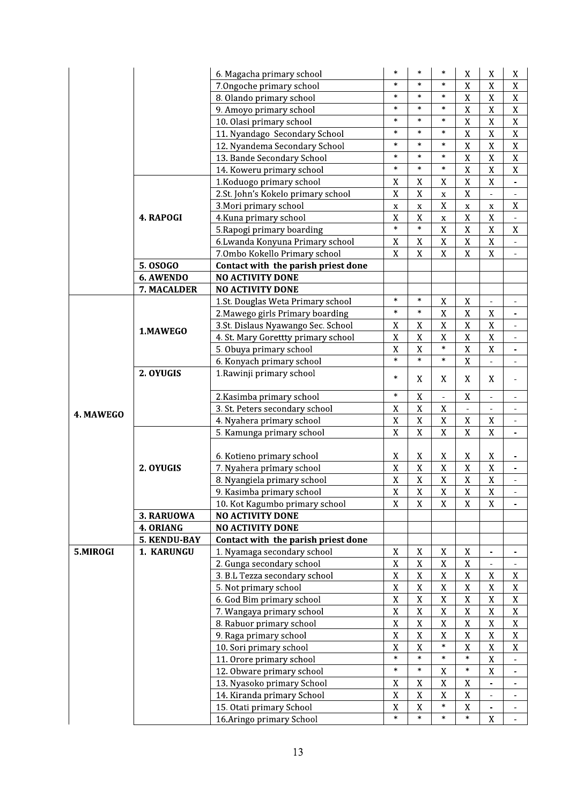|           |              | 6. Magacha primary school           | $\ast$         | $\ast$      | $\ast$                   | $\mathbf X$              | X                         | X                        |
|-----------|--------------|-------------------------------------|----------------|-------------|--------------------------|--------------------------|---------------------------|--------------------------|
|           |              | 7.0ngoche primary school            | $\ast$         | $\ast$      | $\ast$                   | $\mathbf X$              | $\mathbf X$               | $\mathbf X$              |
|           |              | 8. Olando primary school            | $\ast$         | $\ast$      | $\ast$                   | X                        | X                         | $\mathbf X$              |
|           |              | 9. Amoyo primary school             | $\ast$         | $\ast$      | $\ast$                   | $\mathbf X$              | $\mathbf X$               | $\mathbf X$              |
|           |              | 10. Olasi primary school            | $\ast$         | $\ast$      | $\ast$                   | $\mathbf X$              | $\overline{X}$            | $\mathbf X$              |
|           |              | 11. Nyandago Secondary School       | $\ast$         | $\ast$      | $\ast$                   | $\mathbf X$              | $\mathbf X$               | $\mathbf X$              |
|           |              | 12. Nyandema Secondary School       | $\ast$         | $\ast$      | $\ast$                   | $\mathbf X$              | $\mathbf X$               | $\mathbf X$              |
|           |              | 13. Bande Secondary School          | $\ast$         | $\ast$      | $\ast$                   | $\overline{X}$           | $\overline{X}$            | $\mathbf X$              |
|           |              | 14. Koweru primary school           | $\ast$         | $\ast$      | $\ast$                   | $\overline{X}$           | $\overline{X}$            | $\overline{X}$           |
|           |              | 1. Koduogo primary school           | X              | $\mathbf X$ | X                        | $\mathbf X$              | $\mathbf X$               |                          |
|           |              | 2.St. John's Kokelo primary school  | $\overline{X}$ | $\mathbf X$ | $\mathbf X$              | $\mathbf X$              |                           |                          |
|           |              | 3. Mori primary school              | X              | X           | $\mathbf X$              | $\mathbf X$              | X                         | $\mathbf X$              |
|           | 4. RAPOGI    | 4. Kuna primary school              | $\mathbf X$    | $\mathbf X$ | $\mathbf x$              | $\mathbf X$              | $\mathbf X$               |                          |
|           |              | 5. Rapogi primary boarding          | $\ast$         | $\ast$      | $\mathbf X$              | $\mathbf X$              | $\mathbf X$               | $\mathbf X$              |
|           |              | 6. Lwanda Konyuna Primary school    | $\mathbf X$    | $\mathbf X$ | $\mathbf X$              | $\mathbf X$              | $\mathbf X$               | $\overline{\phantom{a}}$ |
|           |              | 7.0mbo Kokello Primary school       | $\mathbf X$    | $\mathbf X$ | $\overline{X}$           | $\mathbf X$              | $\overline{X}$            | $\overline{\phantom{0}}$ |
|           | 5.0SOG0      | Contact with the parish priest done |                |             |                          |                          |                           |                          |
|           | 6. AWENDO    | <b>NO ACTIVITY DONE</b>             |                |             |                          |                          |                           |                          |
|           | 7. MACALDER  | <b>NO ACTIVITY DONE</b>             |                |             |                          |                          |                           |                          |
|           |              | 1.St. Douglas Weta Primary school   | $\ast$         | $\ast$      | $\mathbf X$              | $\mathbf X$              |                           |                          |
|           |              | 2. Mawego girls Primary boarding    | $\ast$         | $\ast$      | $\bar{X}$                | $\bar{X}$                | $\mathbf X$               |                          |
|           |              | 3.St. Dislaus Nyawango Sec. School  | X              | $\mathbf X$ | $\bar{X}$                | $\mathbf X$              | $\mathbf X$               |                          |
|           | 1.MAWEGO     | 4. St. Mary Gorettty primary school | $\bar{X}$      | $\mathbf X$ | $\mathbf X$              | $\mathbf X$              | $\mathbf X$               |                          |
|           |              | 5. Obuya primary school             | X              | $\mathbf X$ | $\ast$                   | $\mathbf X$              | $\overline{X}$            |                          |
|           |              | 6. Konyach primary school           | $\ast$         | $\ast$      | $\ast$                   | $\mathbf X$              | $\overline{\phantom{0}}$  | $\overline{\phantom{a}}$ |
|           | 2. OYUGIS    | 1. Rawinji primary school           |                |             |                          |                          |                           |                          |
|           |              |                                     | $\ast$         | X           | X                        | X                        | X                         | $\overline{a}$           |
|           |              | 2. Kasimba primary school           | $\ast$         | $\mathbf X$ | $\overline{\phantom{0}}$ | $\mathbf X$              | ä,                        | $\overline{a}$           |
|           |              | 3. St. Peters secondary school      | $\mathbf X$    | $\mathbf X$ | $\mathbf X$              | $\overline{\phantom{0}}$ |                           |                          |
| 4. MAWEGO |              | 4. Nyahera primary school           | X              | $\mathbf X$ | $\mathbf X$              | $\mathbf X$              | $\mathbf X$               |                          |
|           |              | 5. Kamunga primary school           | $\mathbf X$    | $\mathbf X$ | $\overline{X}$           | $\overline{X}$           | $\mathbf X$               | $\frac{1}{2}$            |
|           |              |                                     |                |             |                          |                          |                           |                          |
|           |              | 6. Kotieno primary school           | X              | X           | X                        | X                        | X                         |                          |
|           | 2. OYUGIS    | 7. Nyahera primary school           | $\overline{X}$ | $\mathbf X$ | $\overline{X}$           | $\rm X$                  | $\overline{X}$            |                          |
|           |              | 8. Nyangiela primary school         | $\bar{X}$      | $\mathbf X$ | $\bar{X}$                | $\mathbf X$              | $\mathbf X$               |                          |
|           |              | 9. Kasimba primary school           | $\mathbf X$    | $\mathbf X$ | $\mathbf X$              | $\mathbf X$              | $\mathbf X$               |                          |
|           |              | 10. Kot Kagumbo primary school      | $\mathbf X$    | $\mathbf X$ | X                        | $\mathbf X$              | X                         |                          |
|           | 3. RARUOWA   | <b>NO ACTIVITY DONE</b>             |                |             |                          |                          |                           |                          |
|           | 4. ORIANG    | <b>NO ACTIVITY DONE</b>             |                |             |                          |                          |                           |                          |
|           | 5. KENDU-BAY | Contact with the parish priest done |                |             |                          |                          |                           |                          |
| 5.MIROGI  | 1. KARUNGU   | 1. Nyamaga secondary school         | $\mathbf X$    | $\mathbf X$ | $\mathbf X$              | X                        |                           |                          |
|           |              | 2. Gunga secondary school           | $\mathbf X$    | $\mathbf X$ | $\mathbf X$              | $\mathbf X$              |                           |                          |
|           |              | 3. B.L Tezza secondary school       | $\mathbf X$    | $\mathbf X$ | $\mathbf X$              | $\mathbf X$              | $\mathbf X$               | X                        |
|           |              | 5. Not primary school               | $\mathbf X$    | $\mathbf X$ | $\mathbf X$              | $\mathbf X$              | $\mathbf X$               | $\mathbf X$              |
|           |              | 6. God Bim primary school           | $\mathbf{X}$   | $\mathbf X$ | $\mathbf X$              | $\mathbf X$              | $\overline{X}$            | $\mathbf X$              |
|           |              | 7. Wangaya primary school           | $\bar{X}$      | $\mathbf X$ | $\bar{X}$                | $\mathbf X$              | $\bar{X}$                 | $\mathbf X$              |
|           |              | 8. Rabuor primary school            | $\mathbf X$    | $\mathbf X$ | $\mathbf X$              | $\mathbf X$              | $\mathbf X$               | $\mathbf X$              |
|           |              | 9. Raga primary school              | $\mathbf X$    | $\mathbf X$ | $\mathbf X$              | $\mathbf X$              | $\mathbf X$               | $\mathbf X$              |
|           |              | 10. Sori primary school             | X              | $\mathbf X$ | $\ast$                   | $\mathbf X$              | $\boldsymbol{\mathrm{X}}$ | $\mathbf X$              |
|           |              | 11. Orore primary school            | $\ast$         | $\ast$      | $\ast$                   | $\ast$                   | $\mathbf X$               | $\blacksquare$           |
|           |              | 12. Obware primary school           | $\ast$         | $\ast$      | $\mathbf X$              | $\ast$                   | X                         | $\overline{\phantom{a}}$ |
|           |              | 13. Nyasoko primary School          | X              | $\mathbf X$ | $\mathbf X$              | $\mathbf X$              | $\overline{a}$            | $\overline{\phantom{a}}$ |
|           |              | 14. Kiranda primary School          | $\mathbf X$    | $\mathbf X$ | $\mathbf X$              | $\mathbf X$              |                           |                          |
|           |              | 15. Otati primary School            | $\mathbf X$    | $\mathbf X$ | $\ast$                   | $\mathbf X$              |                           |                          |
|           |              | 16. Aringo primary School           | $\ast$         | $\ast$      | $\ast$                   | $\ast$                   | X                         |                          |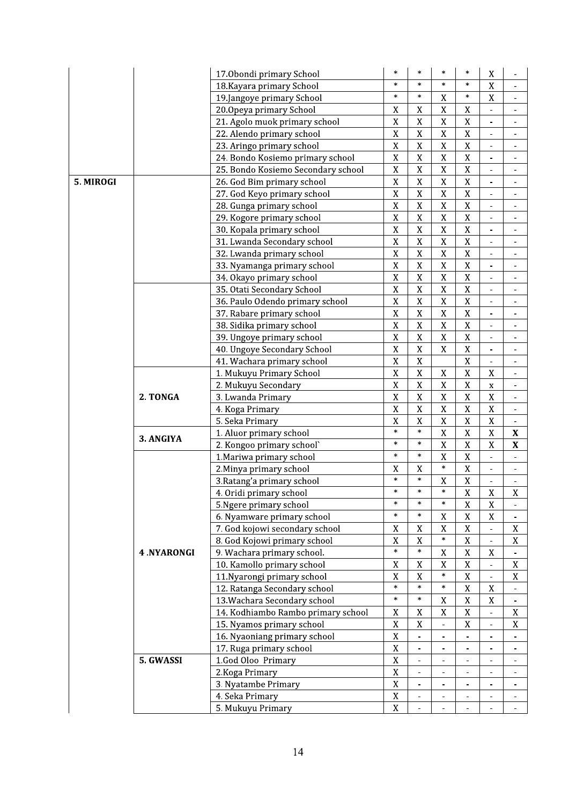|           |            | 17.0bondi primary School                                  | $\ast$                        | $\ast$                     | $\ast$                   | $\ast$                  | $\mathbf X$                   |                              |
|-----------|------------|-----------------------------------------------------------|-------------------------------|----------------------------|--------------------------|-------------------------|-------------------------------|------------------------------|
|           |            | 18. Kayara primary School                                 | $\ast$                        | $\ast$                     | $\ast$                   | $\ast$                  | $\bar{X}$                     |                              |
|           |            | 19.Jangoye primary School                                 | $\ast$                        | $\ast$                     | $\mathbf X$              | $\ast$                  | $\mathbf X$                   |                              |
|           |            | 20.0peya primary School                                   | $\mathbf X$                   | X                          | $\mathbf X$              | $\mathbf X$             |                               |                              |
|           |            | 21. Agolo muok primary school                             | $\mathbf X$                   | X                          | $\mathbf X$              | $\mathbf X$             | $\overline{\phantom{0}}$      |                              |
|           |            | 22. Alendo primary school                                 | $\mathbf X$                   | $\mathbf X$                | $\mathbf X$              | $\mathbf X$             | $\blacksquare$                | $\blacksquare$               |
|           |            | 23. Aringo primary school                                 | $\overline{X}$                | $\overline{X}$             | $\mathbf X$              | $\overline{X}$          | $\blacksquare$                | $\overline{\phantom{a}}$     |
|           |            | 24. Bondo Kosiemo primary school                          | $\mathbf X$                   | $\mathbf X$                | $\mathbf X$              | $\mathbf X$             | $\overline{\phantom{0}}$      | ÷,                           |
|           |            | 25. Bondo Kosiemo Secondary school                        | $\mathbf X$                   | $\overline{X}$             | $\mathbf X$              | $\mathbf X$             |                               |                              |
| 5. MIROGI |            | 26. God Bim primary school                                | $\mathbf X$                   | X                          | $\mathbf X$              | $\overline{X}$          | $\qquad \qquad \blacksquare$  |                              |
|           |            | 27. God Keyo primary school                               | $\mathbf X$                   | $\overline{X}$             | $\mathbf X$              | $\mathbf X$             | $\blacksquare$                | $\overline{\phantom{a}}$     |
|           |            | 28. Gunga primary school                                  | $\mathbf X$                   | X                          | $\mathbf X$              | $\mathbf X$             | $\overline{a}$                |                              |
|           |            | 29. Kogore primary school                                 | $\overline{X}$                | $\overline{\mathbf{X}}$    | $\bar{X}$                | $\overline{X}$          | ÷,                            | $\overline{a}$               |
|           |            | 30. Kopala primary school                                 | $\mathbf X$                   | X                          | $\mathbf X$              | $\overline{X}$          |                               |                              |
|           |            | 31. Lwanda Secondary school                               | $\mathbf X$                   | X                          | $\mathbf X$              | $\mathbf X$             |                               |                              |
|           |            | 32. Lwanda primary school                                 | $\mathbf X$                   | $\mathbf X$                | $\mathbf X$              | $\mathbf X$             | -                             | $\overline{\phantom{m}}$     |
|           |            | 33. Nyamanga primary school                               | $\mathbf X$                   | $\mathbf X$                | $\mathbf X$              | $\mathbf X$             | $\overline{\phantom{m}}$      | $\overline{\phantom{a}}$     |
|           |            | 34. Okayo primary school                                  | $\mathbf X$                   | $\mathbf X$                | $\mathbf X$              | $\mathbf X$             | ÷                             | $\overline{a}$               |
|           |            | 35. Otati Secondary School                                | $\mathbf X$                   | $\overline{X}$             | $\mathbf X$              | $\mathbf X$             | ÷,                            | $\overline{\phantom{a}}$     |
|           |            | 36. Paulo Odendo primary school                           | $\mathbf X$                   | $\mathbf X$                | $\mathbf X$              | $\mathbf X$             | ä,                            |                              |
|           |            | 37. Rabare primary school                                 | $\mathbf X$                   | $\overline{X}$             | $\mathbf X$              | $\mathbf X$             | ÷,                            |                              |
|           |            | 38. Sidika primary school                                 | $\mathbf X$                   | $\overline{X}$             | $\mathbf X$              | $\mathbf X$             | $\blacksquare$                |                              |
|           |            | 39. Ungoye primary school                                 | $\mathbf X$                   | X                          | $\mathbf X$              | $\mathbf X$             | Ξ.                            |                              |
|           |            | 40. Ungoye Secondary School                               | $\mathbf X$                   | $\overline{X}$             | $\mathbf X$              | $\mathbf X$             | $\overline{\phantom{0}}$      | ÷,                           |
|           |            | 41. Wachara primary school                                | $\mathbf X$                   | $\overline{X}$             |                          | $\overline{X}$          |                               |                              |
|           |            | 1. Mukuyu Primary School                                  | $\mathbf X$                   | X                          | $\mathbf X$              | $\mathbf X$             | $\mathbf X$                   |                              |
|           |            | 2. Mukuyu Secondary                                       | $\mathbf X$                   | X                          | $\mathbf X$              | $\mathbf X$             | $\mathbf X$                   | $\qquad \qquad \blacksquare$ |
|           | 2. TONGA   | 3. Lwanda Primary                                         | $\mathbf X$                   | $\mathbf X$                | $\mathbf X$              | $\mathbf X$             | $\mathbf X$                   | $\qquad \qquad \blacksquare$ |
|           |            | 4. Koga Primary                                           | $\mathbf X$                   | X                          | $\mathbf X$              | $\mathbf X$             | $\mathbf X$                   | $\blacksquare$               |
|           |            | 5. Seka Primary                                           | $\mathbf X$                   | X                          | $\mathbf X$              | $\mathbf X$             | $\mathbf X$                   | $\overline{\phantom{a}}$     |
|           |            | 1. Aluor primary school                                   | $\ast$                        | $\ast$                     | $\mathbf X$              | $\mathbf X$             | $\mathbf X$                   | X                            |
|           | 3. ANGIYA  | 2. Kongoo primary school`                                 | $\ast$                        | $\ast$                     | $\mathbf X$              | $\mathbf X$             | $\mathbf X$                   | $\mathbf X$                  |
|           |            | 1. Mariwa primary school                                  | $\ast$                        | $\ast$                     | $\overline{X}$           | $\mathbf X$             | $\blacksquare$                |                              |
|           |            | 2. Minya primary school                                   | X                             | $\mathbf X$                | $\ast$                   | $\mathbf X$             | $\blacksquare$                | $\blacksquare$               |
|           |            | 3. Ratang'a primary school                                | $\ast$                        | $\ast$                     | $\mathbf X$              | $\mathbf X$             |                               |                              |
|           |            | 4. Oridi primary school                                   | $\ast$                        | $\ast$                     | $\ast$                   | $\overline{\mathbf{x}}$ | $\mathbf X$                   | $\mathbf X$                  |
|           |            | 5. Ngere primary school                                   | $\ast$                        | $\ast$                     | $\ast$                   | $\mathbf X$             | $\mathbf X$                   |                              |
|           |            | 6. Nyamware primary school                                | $\ast$                        | $\ast$                     | $\mathbf X$              | $\mathbf X$             | $\mathbf X$                   |                              |
|           |            | 7. God kojowi secondary school                            | X                             | X                          | X                        | X                       |                               | X                            |
|           |            | 8. God Kojowi primary school                              | X                             | X                          | $\ast$                   | X                       | $\blacksquare$                |                              |
|           | 4.NYARONGI | 9. Wachara primary school.                                | $\ast$                        | $\ast$                     | $\mathbf X$              | X                       |                               | X                            |
|           |            |                                                           |                               |                            | $\mathbf X$              | $\mathbf X$             | X                             |                              |
|           |            | 10. Kamollo primary school<br>11. Nyarongi primary school | $\mathbf X$<br>$\mathbf X$    | $\mathbf X$<br>$\mathbf X$ | $\ast$                   | $\mathbf X$             | ÷,                            | $\mathbf X$                  |
|           |            |                                                           | *                             | $\ast$                     | $\ast$                   | X                       | $\blacksquare$<br>$\mathbf X$ | $\mathbf X$                  |
|           |            | 12. Ratanga Secondary school                              | $\ast$                        | $\ast$                     | $\mathbf X$              | $\mathbf X$             | $\mathbf X$                   |                              |
|           |            | 13. Wachara Secondary school                              |                               |                            | $\mathbf X$              | $\mathbf X$             |                               |                              |
|           |            | 14. Kodhiambo Rambo primary school                        | $\mathbf X$                   | X                          |                          |                         | $\Box$                        | $\mathbf X$                  |
|           |            | 15. Nyamos primary school                                 | $\mathbf X$<br>$\overline{X}$ | $\mathbf{X}$               | $\overline{\phantom{a}}$ | X                       | $\overline{\phantom{0}}$      | X                            |
|           |            | 16. Nyaoniang primary school                              |                               | $\overline{a}$             | $\blacksquare$           |                         | $\blacksquare$                |                              |
|           |            | 17. Ruga primary school                                   | $\mathbf X$                   | $\overline{\phantom{0}}$   |                          |                         |                               |                              |
|           | 5. GWASSI  | 1.God Oloo Primary                                        | $\mathbf X$                   | $\overline{\phantom{0}}$   |                          |                         |                               |                              |
|           |            | 2. Koga Primary                                           | $\mathbf X$                   | $\overline{\phantom{a}}$   | $\overline{\phantom{a}}$ |                         | $\overline{\phantom{0}}$      | $\overline{\phantom{a}}$     |
|           |            | 3. Nyatambe Primary                                       | $\mathbf X$                   | $\overline{\phantom{a}}$   | $\overline{\phantom{a}}$ |                         | $\overline{\phantom{a}}$      | $\blacksquare$               |
|           |            | 4. Seka Primary                                           | $\mathbf X$                   | $\blacksquare$             |                          |                         | $\blacksquare$                | $\blacksquare$               |
|           |            | 5. Mukuyu Primary                                         | $\mathbf X$                   | $\blacksquare$             |                          |                         |                               |                              |